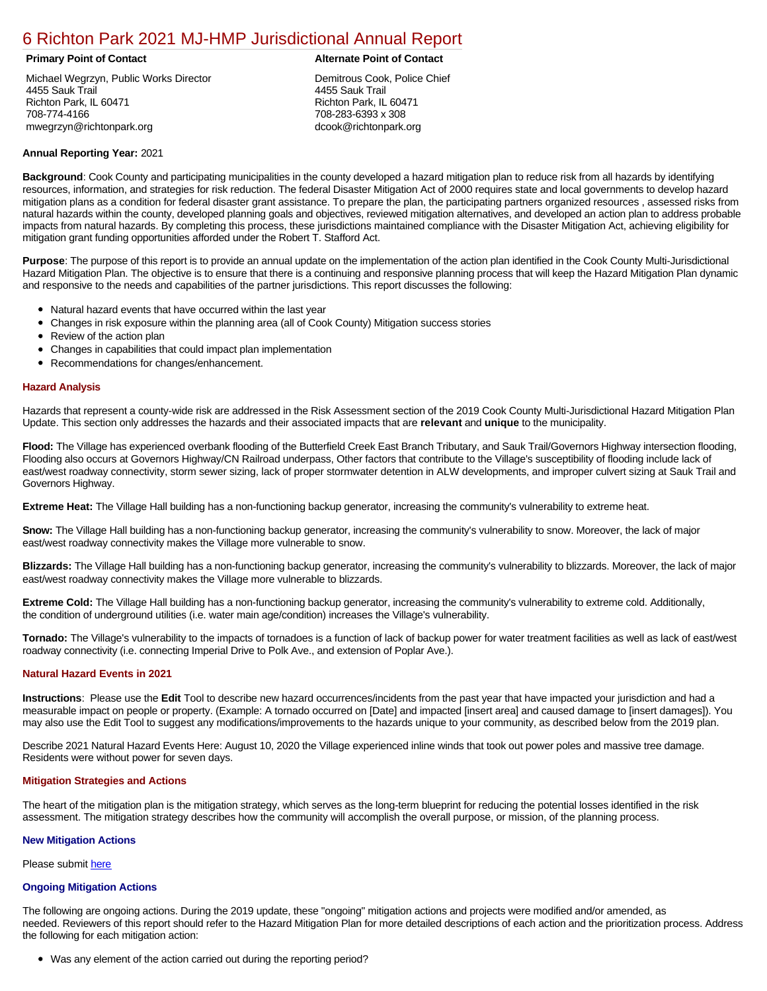# [6 Richton Park 2021 MJ-HMP Jurisdictional Annual Report](https://richton.isc-cemp.com/Cemp/Details?id=8322870)

Michael Wegrzyn, Public Works Director 4455 Sauk Trail Richton Park, IL 60471 708-774-4166 mwegrzyn@richtonpark.org

#### **Primary Point of Contact Alternate Point of Contact**

Demitrous Cook, Police Chief 4455 Sauk Trail Richton Park, IL 60471 708-283-6393 x 308 dcook@richtonpark.org

### **Annual Reporting Year:** 2021

**Background**: Cook County and participating municipalities in the county developed a hazard mitigation plan to reduce risk from all hazards by identifying resources, information, and strategies for risk reduction. The federal Disaster Mitigation Act of 2000 requires state and local governments to develop hazard mitigation plans as a condition for federal disaster grant assistance. To prepare the plan, the participating partners organized resources , assessed risks from natural hazards within the county, developed planning goals and objectives, reviewed mitigation alternatives, and developed an action plan to address probable impacts from natural hazards. By completing this process, these jurisdictions maintained compliance with the Disaster Mitigation Act, achieving eligibility for mitigation grant funding opportunities afforded under the Robert T. Stafford Act.

**Purpose**: The purpose of this report is to provide an annual update on the implementation of the action plan identified in the Cook County Multi-Jurisdictional Hazard Mitigation Plan. The objective is to ensure that there is a continuing and responsive planning process that will keep the Hazard Mitigation Plan dynamic and responsive to the needs and capabilities of the partner jurisdictions. This report discusses the following:

- Natural hazard events that have occurred within the last year
- $\bullet$ Changes in risk exposure within the planning area (all of Cook County) Mitigation success stories
- Review of the action plan  $\bullet$
- $\bullet$ Changes in capabilities that could impact plan implementation
- Recommendations for changes/enhancement.

#### **Hazard Analysis**

Hazards that represent a county-wide risk are addressed in the Risk Assessment section of the 2019 Cook County Multi-Jurisdictional Hazard Mitigation Plan Update. This section only addresses the hazards and their associated impacts that are **relevant** and **unique** to the municipality.

**Flood:** The Village has experienced overbank flooding of the Butterfield Creek East Branch Tributary, and Sauk Trail/Governors Highway intersection flooding, Flooding also occurs at Governors Highway/CN Railroad underpass, Other factors that contribute to the Village's susceptibility of flooding include lack of east/west roadway connectivity, storm sewer sizing, lack of proper stormwater detention in ALW developments, and improper culvert sizing at Sauk Trail and Governors Highway.

**Extreme Heat:** The Village Hall building has a non-functioning backup generator, increasing the community's vulnerability to extreme heat.

**Snow:** The Village Hall building has a non-functioning backup generator, increasing the community's vulnerability to snow. Moreover, the lack of major east/west roadway connectivity makes the Village more vulnerable to snow.

**Blizzards:** The Village Hall building has a non-functioning backup generator, increasing the community's vulnerability to blizzards. Moreover, the lack of major east/west roadway connectivity makes the Village more vulnerable to blizzards.

**Extreme Cold:** The Village Hall building has a non-functioning backup generator, increasing the community's vulnerability to extreme cold. Additionally, the condition of underground utilities (i.e. water main age/condition) increases the Village's vulnerability.

**Tornado:** The Village's vulnerability to the impacts of tornadoes is a function of lack of backup power for water treatment facilities as well as lack of east/west roadway connectivity (i.e. connecting Imperial Drive to Polk Ave., and extension of Poplar Ave.).

### **Natural Hazard Events in 2021**

**Instructions**: Please use the **Edit** Tool to describe new hazard occurrences/incidents from the past year that have impacted your jurisdiction and had a measurable impact on people or property. (Example: A tornado occurred on [Date] and impacted [insert area] and caused damage to [insert damages]). You may also use the Edit Tool to suggest any modifications/improvements to the hazards unique to your community, as described below from the 2019 plan.

Describe 2021 Natural Hazard Events Here: August 10, 2020 the Village experienced inline winds that took out power poles and massive tree damage. Residents were without power for seven days.

#### **Mitigation Strategies and Actions**

The heart of the mitigation plan is the mitigation strategy, which serves as the long-term blueprint for reducing the potential losses identified in the risk assessment. The mitigation strategy describes how the community will accomplish the overall purpose, or mission, of the planning process.

#### **New Mitigation Actions**

Please submit [here](https://integratedsolutions.wufoo.com/forms/mg21jvf0jn639o/)

## **Ongoing Mitigation Actions**

The following are ongoing actions. During the 2019 update, these "ongoing" mitigation actions and projects were modified and/or amended, as needed. Reviewers of this report should refer to the Hazard Mitigation Plan for more detailed descriptions of each action and the prioritization process. Address the following for each mitigation action:

Was any element of the action carried out during the reporting period?